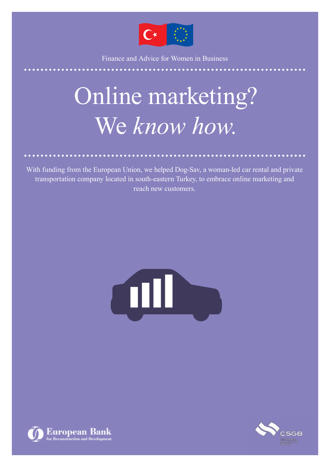

Finance and Advice for Women in Business

## Online marketing? We *know how.*

With funding from the European Union, we helped Dog-Sav, a woman-led car rental and private transportation company located in south-eastern Turkey, to embrace online marketing and reach new customers.